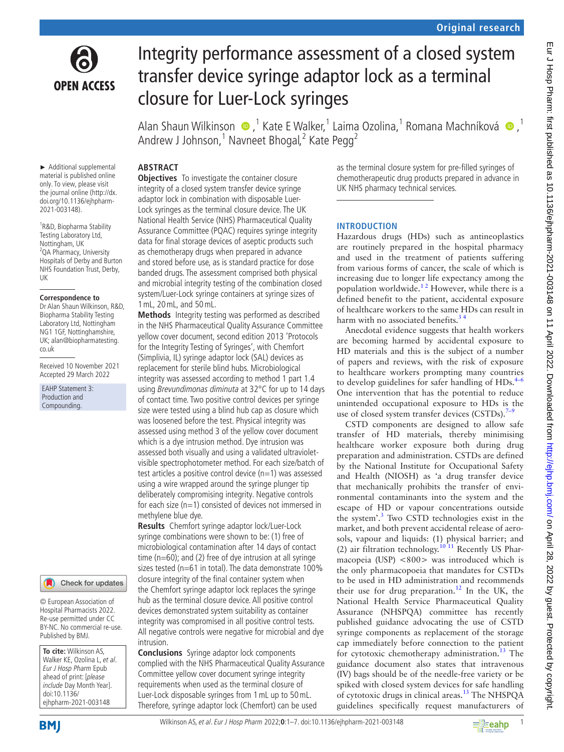

# Integrity performance assessment of a closed system transfer device syringe adaptor lock as a terminal closure for Luer-Lock syringes

Alan Shaun Wilkinson,1 Kate E Walker,1 Laima Ozolina,1 Romana Machníková,1 Andrew J Johnson,<sup>1</sup> Navneet Bhogal,<sup>2</sup> Kate Pegg<sup>2</sup>

# **ABSTRACT**

► Additional supplemental material is published online only. To view, please visit the journal online [\(http://dx.](http://dx.doi.org/10.1136/ejhpharm-2021-003148) [doi.org/10.1136/ejhpharm-](http://dx.doi.org/10.1136/ejhpharm-2021-003148)[2021-003148\)](http://dx.doi.org/10.1136/ejhpharm-2021-003148).

1 R&D, Biopharma Stability Testing Laboratory Ltd, Nottingham, UK <sup>2</sup>QA Pharmacy, University Hospitals of Derby and Burton NHS Foundation Trust, Derby, UK

#### **Correspondence to**

Dr Alan Shaun Wilkinson, R&D, Biopharma Stability Testing Laboratory Ltd, Nottingham NG1 1GF, Nottinghamshire, UK; alan@biopharmatesting. co.uk

Received 10 November 2021 Accepted 29 March 2022

EAHP Statement 3: Production and Compounding.

# Check for updates

© European Association of Hospital Pharmacists 2022. Re-use permitted under CC BY-NC. No commercial re-use. Published by BMJ.

**To cite:** Wilkinson AS, Walker KE, Ozolina L, et al. Eur J Hosp Pharm Epub ahead of print: [please include Day Month Year]. doi:10.1136/ ejhpharm-2021-003148

**Objectives** To investigate the container closure integrity of a closed system transfer device syringe adaptor lock in combination with disposable Luer-Lock syringes as the terminal closure device. The UK National Health Service (NHS) Pharmaceutical Quality Assurance Committee (POAC) requires syringe integrity data for final storage devices of aseptic products such as chemotherapy drugs when prepared in advance and stored before use, as is standard practice for dose banded drugs. The assessment comprised both physical and microbial integrity testing of the combination closed system/Luer-Lock syringe containers at syringe sizes of 1mL, 20mL, and 50mL.

**Methods** Integrity testing was performed as described in the NHS Pharmaceutical Quality Assurance Committee yellow cover document, second edition 2013 'Protocols for the Integrity Testing of Syringes', with Chemfort (Simplivia, IL) syringe adaptor lock (SAL) devices as replacement for sterile blind hubs. Microbiological integrity was assessed according to method 1 part 1.4 using Brevundimonas diminuta at 32°C for up to 14 days of contact time. Two positive control devices per syringe size were tested using a blind hub cap as closure which was loosened before the test. Physical integrity was assessed using method 3 of the yellow cover document which is a dye intrusion method. Dye intrusion was assessed both visually and using a validated ultravioletvisible spectrophotometer method. For each size/batch of test articles a positive control device  $(n=1)$  was assessed using a wire wrapped around the syringe plunger tip deliberately compromising integrity. Negative controls for each size  $(n=1)$  consisted of devices not immersed in methylene blue dye.

**Results** Chemfort syringe adaptor lock/Luer-Lock syringe combinations were shown to be: (1) free of microbiological contamination after 14 days of contact time ( $n=60$ ); and (2) free of dye intrusion at all syringe sizes tested (n=61 in total). The data demonstrate 100% closure integrity of the final container system when the Chemfort syringe adaptor lock replaces the syringe hub as the terminal closure device. All positive control devices demonstrated system suitability as container integrity was compromised in all positive control tests. All negative controls were negative for microbial and dye intrusion.

**Conclusions** Syringe adaptor lock components complied with the NHS Pharmaceutical Quality Assurance Committee yellow cover document syringe integrity requirements when used as the terminal closure of Luer-Lock disposable syringes from 1mL up to 50mL. Therefore, syringe adaptor lock (Chemfort) can be used

as the terminal closure system for pre-filled syringes of chemotherapeutic drug products prepared in advance in UK NHS pharmacy technical services.

# **INTRODUCTION**

Hazardous drugs (HDs) such as antineoplastics are routinely prepared in the hospital pharmacy and used in the treatment of patients suffering from various forms of cancer, the scale of which is increasing due to longer life expectancy among the population worldwide. $12$  However, while there is a defined benefit to the patient, accidental exposure of healthcare workers to the same HDs can result in harm with no associated benefits.<sup>3</sup>

Anecdotal evidence suggests that health workers are becoming harmed by accidental exposure to HD materials and this is the subject of a number of papers and reviews, with the risk of exposure to healthcare workers prompting many countries to develop guidelines for safer handling of  $HDs.<sup>4–6</sup>$  $HDs.<sup>4–6</sup>$  $HDs.<sup>4–6</sup>$ One intervention that has the potential to reduce unintended occupational exposure to HDs is the use of closed system transfer devices  $(CSTDs)$ .<sup>7–9</sup>

CSTD components are designed to allow safe transfer of HD materials, thereby minimising healthcare worker exposure both during drug preparation and administration. CSTDs are defined by the National Institute for Occupational Safety and Health (NIOSH) as 'a drug transfer device that mechanically prohibits the transfer of environmental contaminants into the system and the escape of HD or vapour concentrations outside the system'.<sup>[3](#page-5-1)</sup> Two CSTD technologies exist in the market, and both prevent accidental release of aerosols, vapour and liquids: (1) physical barrier; and (2) air filtration technology[.10 11](#page-6-1) Recently US Pharmacopeia (USP) <800> was introduced which is the only pharmacopoeia that mandates for CSTDs to be used in HD administration and recommends their use for drug preparation.<sup>12</sup> In the UK, the National Health Service Pharmaceutical Quality Assurance (NHSPQA) committee has recently published guidance advocating the use of CSTD syringe components as replacement of the storage cap immediately before connection to the patient for cytotoxic chemotherapy administration.<sup>[13](#page-6-3)</sup> The guidance document also states that intravenous (IV) bags should be of the needle-free variety or be spiked with closed system devices for safe handling of cytotoxic drugs in clinical areas.<sup>13</sup> The NHSPQA guidelines specifically request manufacturers of



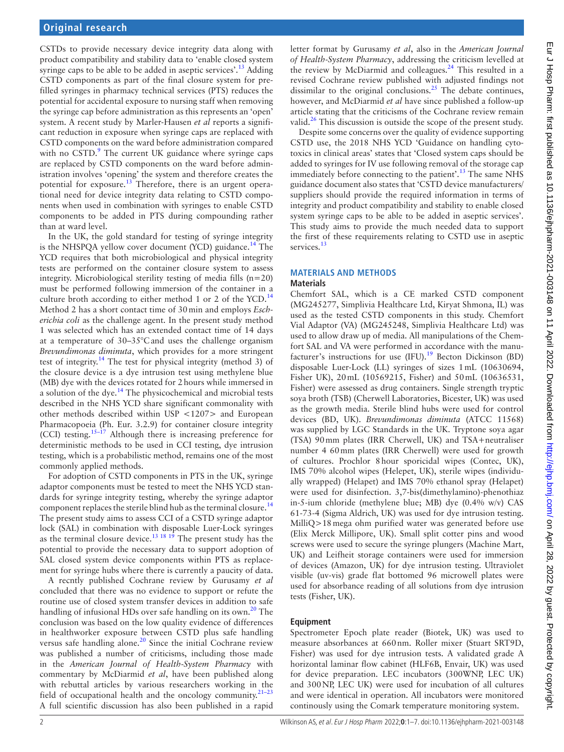CSTDs to provide necessary device integrity data along with product compatibility and stability data to 'enable closed system syringe caps to be able to be added in aseptic services'.<sup>[13](#page-6-3)</sup> Adding CSTD components as part of the final closure system for prefilled syringes in pharmacy technical services (PTS) reduces the potential for accidental exposure to nursing staff when removing the syringe cap before administration as this represents an 'open' system. A recent study by Marler-Hausen *et al* reports a significant reduction in exposure when syringe caps are replaced with CSTD components on the ward before administration compared with no CSTD.<sup>9</sup> The current UK guidance where syringe caps are replaced by CSTD components on the ward before administration involves 'opening' the system and therefore creates the potential for exposure.<sup>13</sup> Therefore, there is an urgent operational need for device integrity data relating to CSTD components when used in combination with syringes to enable CSTD components to be added in PTS during compounding rather than at ward level.

In the UK, the gold standard for testing of syringe integrity is the NHSPQA yellow cover document (YCD) guidance.<sup>14</sup> The YCD requires that both microbiological and physical integrity tests are performed on the container closure system to assess integrity. Microbiological sterility testing of media fills  $(n=20)$ must be performed following immersion of the container in a culture broth according to either method 1 or 2 of the YCD.<sup>[14](#page-6-5)</sup> Method 2 has a short contact time of 30min and employs *Escherichia coli* as the challenge agent. In the present study method 1 was selected which has an extended contact time of 14 days at a temperature of 30–35°Cand uses the challenge organism *Brevundimonas diminuta*, which provides for a more stringent test of integrity.[14](#page-6-5) The test for physical integrity (method 3) of the closure device is a dye intrusion test using methylene blue (MB) dye with the devices rotated for 2hours while immersed in a solution of the dye.<sup>[14](#page-6-5)</sup> The physicochemical and microbial tests described in the NHS YCD share significant commonality with other methods described within USP <1207> and European Pharmacopoeia (Ph. Eur. 3.2.9) for container closure integrity (CCI) testing.[15–17](#page-6-6) Although there is increasing preference for deterministic methods to be used in CCI testing, dye intrusion testing, which is a probabilistic method, remains one of the most commonly applied methods.

For adoption of CSTD components in PTS in the UK, syringe adaptor components must be tested to meet the NHS YCD standards for syringe integrity testing, whereby the syringe adaptor component replaces the sterile blind hub as the terminal closure.<sup>[14](#page-6-5)</sup> The present study aims to assess CCI of a CSTD syringe adaptor lock (SAL) in combination with disposable Luer-Lock syringes as the terminal closure device[.13 18 19](#page-6-3) The present study has the potential to provide the necessary data to support adoption of SAL closed system device components within PTS as replacement for syringe hubs where there is currently a paucity of data.

A recntly published Cochrane review by Gurusamy *et al* concluded that there was no evidence to support or refute the routine use of closed system transfer devices in addition to safe handling of infusional HDs over safe handling on its own.<sup>20</sup> The conclusion was based on the low quality evidence of differences in healthworker exposure between CSTD plus safe handling versus safe handling alone. $20$  Since the initial Cochrane review was published a number of criticisms, including those made in the *American Journal of Health-System Pharmacy* with commentary by McDiarmid *et al*, have been published along with rebuttal articles by various researchers working in the field of occupational health and the oncology community. $21-23$ A full scientific discussion has also been published in a rapid

letter format by Gurusamy *et al*, also in the *American Journal of Health-System Pharmacy*, addressing the criticism levelled at the review by McDiarmid and colleagues.[24](#page-6-9) This resulted in a revised Cochrane review published with adjusted findings not dissimilar to the original conclusions.<sup>25</sup> The debate continues, however, and McDiarmid *et al* have since published a follow-up article stating that the criticisms of the Cochrane review remain valid. $26$  This discussion is outside the scope of the present study.

Despite some concerns over the quality of evidence supporting CSTD use, the 2018 NHS YCD 'Guidance on handling cytotoxics in clinical areas' states that 'Closed system caps should be added to syringes for IV use following removal of the storage cap immediately before connecting to the patient'.<sup>13</sup> The same NHS guidance document also states that 'CSTD device manufacturers/ suppliers should provide the required information in terms of integrity and product compatibility and stability to enable closed system syringe caps to be able to be added in aseptic services'. This study aims to provide the much needed data to support the first of these requirements relating to CSTD use in aseptic services.<sup>[13](#page-6-3)</sup>

#### **MATERIALS AND METHODS**

#### **Materials**

Chemfort SAL, which is a CE marked CSTD component (MG245277, Simplivia Healthcare Ltd, Kiryat Shmona, IL) was used as the tested CSTD components in this study. Chemfort Vial Adaptor (VA) (MG245248, Simplivia Healthcare Ltd) was used to allow draw up of media. All manipulations of the Chemfort SAL and VA were performed in accordance with the manu-facturer's instructions for use (IFU).<sup>[19](#page-6-12)</sup> Becton Dickinson (BD) disposable Luer-Lock (LL) syringes of sizes 1mL (10630694, Fisher UK), 20mL (10569215, Fisher) and 50mL (10636531, Fisher) were assessed as drug containers. Single strength tryptic soya broth (TSB) (Cherwell Laboratories, Bicester, UK) was used as the growth media. Sterile blind hubs were used for control devices (BD, UK). *Brevundimonas diminuta* (ATCC 11568) was supplied by LGC Standards in the UK. Tryptone soya agar (TSA) 90mm plates (IRR Cherwell, UK) and TSA+neutraliser number 4 60mm plates (IRR Cherwell) were used for growth of cultures. Prochlor 8hour sporicidal wipes (Contec, UK), IMS 70% alcohol wipes (Helepet, UK), sterile wipes (individually wrapped) (Helapet) and IMS 70% ethanol spray (Helapet) were used for disinfection. 3,7-bis(dimethylamino)-phenothiaz in-5-ium chloride (methylene blue; MB) dye (0.4% w/v) CAS 61-73-4 (Sigma Aldrich, UK) was used for dye intrusion testing. MilliQ>18mega ohm purified water was generated before use (Elix Merck Millipore, UK). Small split cotter pins and wood screws were used to secure the syringe plungers (Machine Mart, UK) and Leifheit storage containers were used for immersion of devices (Amazon, UK) for dye intrusion testing. Ultraviolet visible (uv-vis) grade flat bottomed 96 microwell plates were used for absorbance reading of all solutions from dye intrusion tests (Fisher, UK).

# **Equipment**

Spectrometer Epoch plate reader (Biotek, UK) was used to measure absorbances at 660nm. Roller mixer (Stuart SRT9D, Fisher) was used for dye intrusion tests. A validated grade A horizontal laminar flow cabinet (HLF6B, Envair, UK) was used for device preparation. LEC incubators (300WNP, LEC UK) and 300NP, LEC UK) were used for incubation of all cultures and were identical in operation. All incubators were monitored continously using the Comark temperature monitoring system.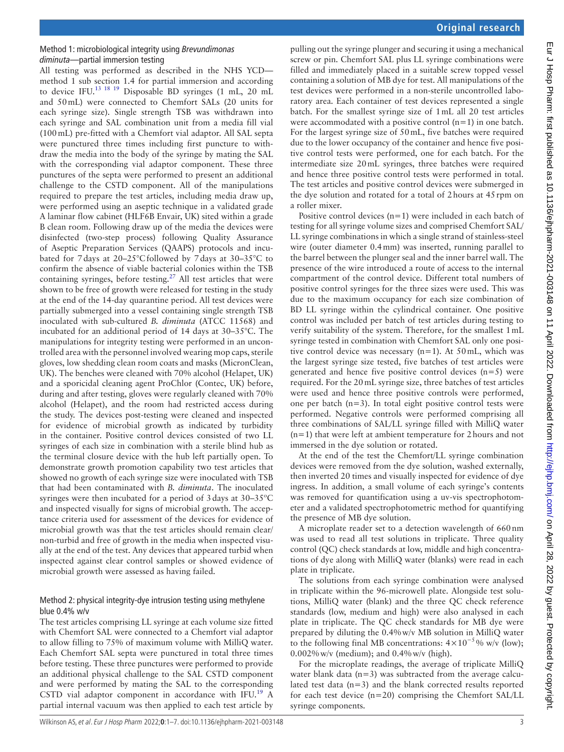# Method 1: microbiological integrity using *Brevundimonas diminuta*—partial immersion testing

All testing was performed as described in the NHS YCD method 1 sub section 1.4 for partial immersion and according to device IFU[.13 18 19](#page-6-3) Disposable BD syringes (1 mL, 20 mL and 50mL) were connected to Chemfort SALs (20 units for each syringe size). Single strength TSB was withdrawn into each syringe and SAL combination unit from a media fill vial (100mL) pre-fitted with a Chemfort vial adaptor. All SAL septa were punctured three times including first puncture to withdraw the media into the body of the syringe by mating the SAL with the corresponding vial adaptor component. These three punctures of the septa were performed to present an additional challenge to the CSTD component. All of the manipulations required to prepare the test articles, including media draw up, were performed using an aseptic technique in a validated grade A laminar flow cabinet (HLF6B Envair, UK) sited within a grade B clean room. Following draw up of the media the devices were disinfected (two-step process) following Quality Assurance of Aseptic Preparation Services (QAAPS) protocols and incubated for 7days at 20–25°Cfollowed by 7days at 30–35°C to confirm the absence of viable bacterial colonies within the TSB containing syringes, before testing.<sup>27</sup> All test articles that were shown to be free of growth were released for testing in the study at the end of the 14-day quarantine period. All test devices were partially submerged into a vessel containing single strength TSB inoculated with sub-cultured *B. diminuta* (ATCC 11568) and incubated for an additional period of 14 days at 30–35°C. The manipulations for integrity testing were performed in an uncontrolled area with the personnel involved wearing mop caps, sterile gloves, low shedding clean room coats and masks (MicronClean, UK). The benches were cleaned with 70% alcohol (Helapet, UK) and a sporicidal cleaning agent ProChlor (Contec, UK) before, during and after testing, gloves were regularly cleaned with 70% alcohol (Helapet), and the room had restricted access during the study. The devices post-testing were cleaned and inspected for evidence of microbial growth as indicated by turbidity in the container. Positive control devices consisted of two LL syringes of each size in combination with a sterile blind hub as the terminal closure device with the hub left partially open. To demonstrate growth promotion capability two test articles that showed no growth of each syringe size were inoculated with TSB that had been contaminated with *B. diminuta*. The inoculated syringes were then incubated for a period of  $3$  days at  $30-35^{\circ}$ C and inspected visually for signs of microbial growth. The acceptance criteria used for assessment of the devices for evidence of microbial growth was that the test articles should remain clear/ non-turbid and free of growth in the media when inspected visually at the end of the test. Any devices that appeared turbid when inspected against clear control samples or showed evidence of microbial growth were assessed as having failed.

# Method 2: physical integrity-dye intrusion testing using methylene blue 0.4% w/v

The test articles comprising LL syringe at each volume size fitted with Chemfort SAL were connected to a Chemfort vial adaptor to allow filling to 75% of maximum volume with MilliQ water. Each Chemfort SAL septa were punctured in total three times before testing. These three punctures were performed to provide an additional physical challenge to the SAL CSTD component and were performed by mating the SAL to the corresponding CSTD vial adaptor component in accordance with IFU. $^{19}$  A partial internal vacuum was then applied to each test article by

pulling out the syringe plunger and securing it using a mechanical screw or pin. Chemfort SAL plus LL syringe combinations were filled and immediately placed in a suitable screw topped vessel containing a solution of MB dye for test. All manipulations of the test devices were performed in a non-sterile uncontrolled laboratory area. Each container of test devices represented a single batch. For the smallest syringe size of 1mL all 20 test articles were accommodated with a positive control  $(n=1)$  in one batch. For the largest syringe size of 50mL, five batches were required due to the lower occupancy of the container and hence five positive control tests were performed, one for each batch. For the intermediate size 20mL syringes, three batches were required and hence three positive control tests were performed in total. The test articles and positive control devices were submerged in the dye solution and rotated for a total of 2hours at 45rpm on a roller mixer.

Positive control devices  $(n=1)$  were included in each batch of testing for all syringe volume sizes and comprised Chemfort SAL/ LL syringe combinations in which a single strand of stainless-steel wire (outer diameter 0.4mm) was inserted, running parallel to the barrel between the plunger seal and the inner barrel wall. The presence of the wire introduced a route of access to the internal compartment of the control device. Different total numbers of positive control syringes for the three sizes were used. This was due to the maximum occupancy for each size combination of BD LL syringe within the cylindrical container. One positive control was included per batch of test articles during testing to verify suitability of the system. Therefore, for the smallest 1mL syringe tested in combination with Chemfort SAL only one positive control device was necessary (n=1). At 50mL, which was the largest syringe size tested, five batches of test articles were generated and hence five positive control devices  $(n=5)$  were required. For the 20mL syringe size, three batches of test articles were used and hence three positive controls were performed, one per batch  $(n=3)$ . In total eight positive control tests were performed. Negative controls were performed comprising all three combinations of SAL/LL syringe filled with MilliQ water (n=1) that were left at ambient temperature for 2hours and not immersed in the dye solution or rotated.

At the end of the test the Chemfort/LL syringe combination devices were removed from the dye solution, washed externally, then inverted 20 times and visually inspected for evidence of dye ingress. In addition, a small volume of each syringe's contents was removed for quantification using a uv-vis spectrophotometer and a validated spectrophotometric method for quantifying the presence of MB dye solution.

A microplate reader set to a detection wavelength of 660nm was used to read all test solutions in triplicate. Three quality control (QC) check standards at low, middle and high concentrations of dye along with MilliQ water (blanks) were read in each plate in triplicate.

The solutions from each syringe combination were analysed in triplicate within the 96-microwell plate. Alongside test solutions, MilliQ water (blank) and the three QC check reference standards (low, medium and high) were also analysed in each plate in triplicate. The QC check standards for MB dye were prepared by diluting the 0.4%w/v MB solution in MilliQ water to the following final MB concentrations:  $4 \times 10^{-5}$ % w/v (low); 0.002%w/v (medium); and 0.4%w/v (high).

For the microplate readings, the average of triplicate MilliQ water blank data  $(n=3)$  was subtracted from the average calculated test data (n=3) and the blank corrected results reported for each test device (n=20) comprising the Chemfort SAL/LL syringe components.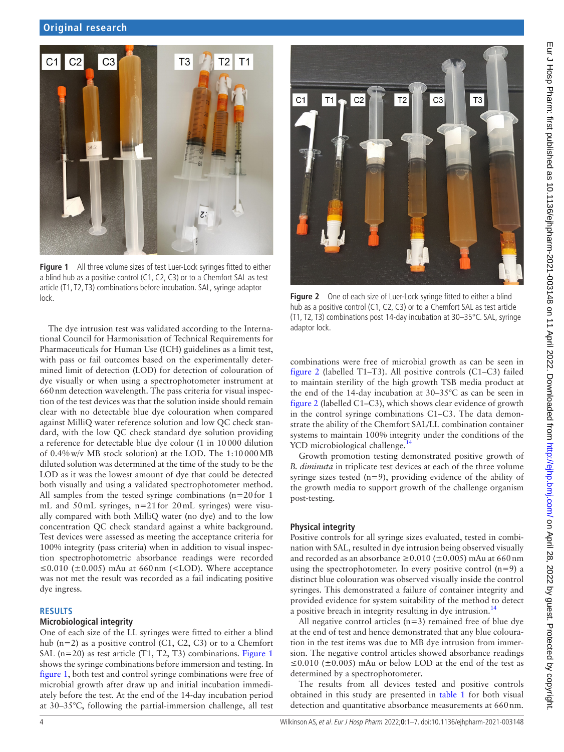

**Figure 1** All three volume sizes of test Luer-Lock syringes fitted to either a blind hub as a positive control (C1, C2, C3) or to a Chemfort SAL as test article (T1, T2, T3) combinations before incubation. SAL, syringe adaptor lock. **Figure 2** One of each size of Luer-Lock syringe fitted to either a blind

<span id="page-3-0"></span>The dye intrusion test was validated according to the International Council for Harmonisation of Technical Requirements for Pharmaceuticals for Human Use (ICH) guidelines as a limit test, with pass or fail outcomes based on the experimentally determined limit of detection (LOD) for detection of colouration of dye visually or when using a spectrophotometer instrument at 660nm detection wavelength. The pass criteria for visual inspection of the test devices was that the solution inside should remain clear with no detectable blue dye colouration when compared against MilliQ water reference solution and low QC check standard, with the low QC check standard dye solution providing a reference for detectable blue dye colour (1 in 10000 dilution of 0.4%w/v MB stock solution) at the LOD. The 1:10000MB diluted solution was determined at the time of the study to be the LOD as it was the lowest amount of dye that could be detected both visually and using a validated spectrophotometer method. All samples from the tested syringe combinations (n=20for 1 mL and 50mL syringes, n=21for 20mL syringes) were visually compared with both MilliQ water (no dye) and to the low concentration QC check standard against a white background. Test devices were assessed as meeting the acceptance criteria for 100% integrity (pass criteria) when in addition to visual inspection spectrophotometric absorbance readings were recorded ≤0.010 ( $\pm$ 0.005) mAu at 660 nm (<LOD). Where acceptance was not met the result was recorded as a fail indicating positive dye ingress.

#### **RESULTS**

#### **Microbiological integrity**

One of each size of the LL syringes were fitted to either a blind hub (n=2) as a positive control (C1, C2, C3) or to a Chemfort SAL (n=20) as test article (T1, T2, T3) combinations. [Figure](#page-3-0) 1 shows the syringe combinations before immersion and testing. In [figure](#page-3-0) 1, both test and control syringe combinations were free of microbial growth after draw up and initial incubation immediately before the test. At the end of the 14-day incubation period at 30–35°C, following the partial-immersion challenge, all test



hub as a positive control (C1, C2, C3) or to a Chemfort SAL as test article (T1, T2, T3) combinations post 14-day incubation at 30–35°C. SAL, syringe adaptor lock.

<span id="page-3-1"></span>combinations were free of microbial growth as can be seen in [figure](#page-3-1) 2 (labelled T1–T3). All positive controls (C1–C3) failed to maintain sterility of the high growth TSB media product at the end of the 14-day incubation at 30–35°C as can be seen in [figure](#page-3-1) 2 (labelled C1–C3), which shows clear evidence of growth in the control syringe combinations C1–C3. The data demonstrate the ability of the Chemfort SAL/LL combination container systems to maintain 100% integrity under the conditions of the YCD microbiological challenge.<sup>[14](#page-6-5)</sup>

Growth promotion testing demonstrated positive growth of *B. diminuta* in triplicate test devices at each of the three volume syringe sizes tested  $(n=9)$ , providing evidence of the ability of the growth media to support growth of the challenge organism post-testing.

#### **Physical integrity**

Positive controls for all syringe sizes evaluated, tested in combination with SAL, resulted in dye intrusion being observed visually and recorded as an absorbance  $\geq$  0.010 ( $\pm$ 0.005) mAu at 660 nm using the spectrophotometer. In every positive control  $(n=9)$  a distinct blue colouration was observed visually inside the control syringes. This demonstrated a failure of container integrity and provided evidence for system suitability of the method to detect a positive breach in integrity resulting in dye intrusion.<sup>14</sup>

All negative control articles  $(n=3)$  remained free of blue dye at the end of test and hence demonstrated that any blue colouration in the test items was due to MB dye intrusion from immersion. The negative control articles showed absorbance readings ≤0.010 ( $\pm$ 0.005) mAu or below LOD at the end of the test as determined by a spectrophotometer.

The results from all devices tested and positive controls obtained in this study are presented in [table](#page-4-0) 1 for both visual detection and quantitative absorbance measurements at 660 nm.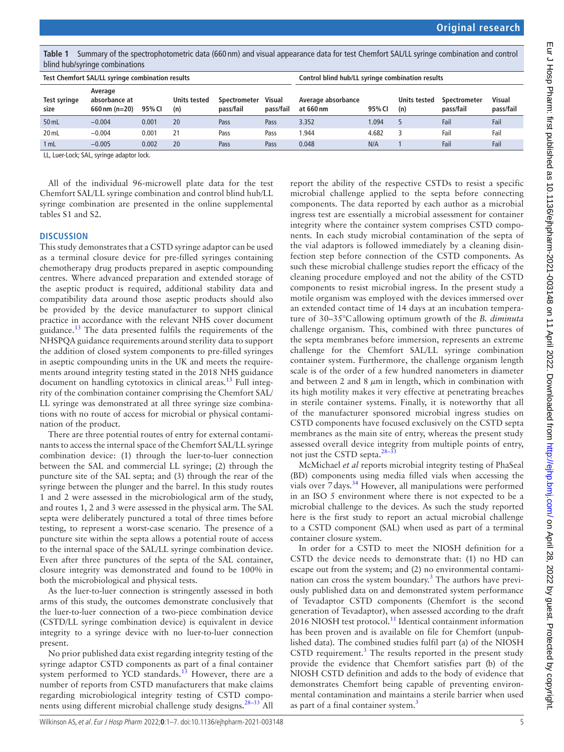<span id="page-4-0"></span>**Table 1** Summary of the spectrophotometric data (660 nm) and visual appearance data for test Chemfort SAL/LL syringe combination and control blind hub/syringe combinations

| Test Chemfort SAL/LL syringe combination results |                                             |        |                            |                                  |                     | Control blind hub/LL syringe combination results |        |                     |                           |                     |
|--------------------------------------------------|---------------------------------------------|--------|----------------------------|----------------------------------|---------------------|--------------------------------------------------|--------|---------------------|---------------------------|---------------------|
| Test syringe<br>size                             | Average<br>absorbance at<br>660 nm $(n=20)$ | 95% CI | <b>Units tested</b><br>(n) | <b>Spectrometer</b><br>pass/fail | Visual<br>pass/fail | Average absorbance<br>at 660 nm                  | 95% CI | Units tested<br>(n) | Spectrometer<br>pass/fail | Visual<br>pass/fail |
| 50 mL                                            | $-0.004$                                    | 0.001  | 20                         | Pass                             | Pass                | 3.352                                            | 1.094  |                     | Fail                      | Fail                |
| 20 mL                                            | $-0.004$                                    | 0.001  | 21                         | Pass                             | Pass                | .944                                             | 4.682  | З                   | Fail                      | Fail                |
| 1 mL                                             | $-0.005$                                    | 0.002  | 20                         | Pass                             | Pass                | 0.048                                            | N/A    |                     | Fail                      | Fail                |

LL, Luer-Lock; SAL, syringe adaptor lock.

All of the individual 96-microwell plate data for the test Chemfort SAL/LL syringe combination and control blind hub/LL syringe combination are presented in the [online supplemental](https://dx.doi.org/10.1136/ejhpharm-2021-003148)  [tables S1 and S2.](https://dx.doi.org/10.1136/ejhpharm-2021-003148)

#### **DISCUSSION**

This study demonstrates that a CSTD syringe adaptor can be used as a terminal closure device for pre-filled syringes containing chemotherapy drug products prepared in aseptic compounding centres. Where advanced preparation and extended storage of the aseptic product is required, additional stability data and compatibility data around those aseptic products should also be provided by the device manufacturer to support clinical practice in accordance with the relevant NHS cover document guidance.<sup>[13](#page-6-3)</sup> The data presented fulfils the requirements of the NHSPQA guidance requirements around sterility data to support the addition of closed system components to pre-filled syringes in aseptic compounding units in the UK and meets the requirements around integrity testing stated in the 2018 NHS guidance document on handling cytotoxics in clinical areas.<sup>[13](#page-6-3)</sup> Full integrity of the combination container comprising the Chemfort SAL/ LL syringe was demonstrated at all three syringe size combinations with no route of access for microbial or physical contamination of the product.

There are three potential routes of entry for external contaminants to access the internal space of the Chemfort SAL/LL syringe combination device: (1) through the luer-to-luer connection between the SAL and commercial LL syringe; (2) through the puncture site of the SAL septa; and (3) through the rear of the syringe between the plunger and the barrel. In this study routes 1 and 2 were assessed in the microbiological arm of the study, and routes 1, 2 and 3 were assessed in the physical arm. The SAL septa were deliberately punctured a total of three times before testing, to represent a worst-case scenario. The presence of a puncture site within the septa allows a potential route of access to the internal space of the SAL/LL syringe combination device. Even after three punctures of the septa of the SAL container, closure integrity was demonstrated and found to be 100% in both the microbiological and physical tests.

As the luer-to-luer connection is stringently assessed in both arms of this study, the outcomes demonstrate conclusively that the luer-to-luer connection of a two-piece combination device (CSTD/LL syringe combination device) is equivalent in device integrity to a syringe device with no luer-to-luer connection present.

No prior published data exist regarding integrity testing of the syringe adaptor CSTD components as part of a final container system performed to YCD standards. $13$  However, there are a number of reports from CSTD manufacturers that make claims regarding microbiological integrity testing of CSTD components using different microbial challenge study designs.<sup>28-33</sup> All

report the ability of the respective CSTDs to resist a specific microbial challenge applied to the septa before connecting components. The data reported by each author as a microbial ingress test are essentially a microbial assessment for container integrity where the container system comprises CSTD components. In each study microbial contamination of the septa of the vial adaptors is followed immediately by a cleaning disinfection step before connection of the CSTD components. As such these microbial challenge studies report the efficacy of the cleaning procedure employed and not the ability of the CSTD components to resist microbial ingress. In the present study a motile organism was employed with the devices immersed over an extended contact time of 14 days at an incubation temperature of 30–35°Callowing optimum growth of the *B. diminuta* challenge organism. This, combined with three punctures of the septa membranes before immersion, represents an extreme challenge for the Chemfort SAL/LL syringe combination container system. Furthermore, the challenge organism length scale is of the order of a few hundred nanometers in diameter and between 2 and 8  $\mu$ m in length, which in combination with its high motility makes it very effective at penetrating breaches in sterile container systems. Finally, it is noteworthy that all of the manufacturer sponsored microbial ingress studies on CSTD components have focused exclusively on the CSTD septa membranes as the main site of entry, whereas the present study assessed overall device integrity from multiple points of entry, not just the CSTD septa.<sup>28-33</sup>

McMichael *et al* reports microbial integrity testing of PhaSeal (BD) components using media filled vials when accessing the vials over  $7$  days.<sup>34</sup> However, all manipulations were performed in an ISO 5 environment where there is not expected to be a microbial challenge to the devices. As such the study reported here is the first study to report an actual microbial challenge to a CSTD component (SAL) when used as part of a terminal container closure system.

In order for a CSTD to meet the NIOSH definition for a CSTD the device needs to demonstrate that: (1) no HD can escape out from the system; and (2) no environmental contamination can cross the system boundary.<sup>3</sup> The authors have previously published data on and demonstrated system performance of Tevadaptor CSTD components (Chemfort is the second generation of Tevadaptor), when assessed according to the draft 2016 NIOSH test protocol.<sup>11</sup> Identical containment information has been proven and is available on file for Chemfort (unpublished data). The combined studies fulfil part (a) of the NIOSH CSTD requirement.<sup>3</sup> The results reported in the present study provide the evidence that Chemfort satisfies part (b) of the NIOSH CSTD definition and adds to the body of evidence that demonstrates Chemfort being capable of preventing environmental contamination and maintains a sterile barrier when used as part of a final container system.<sup>[3](#page-5-1)</sup>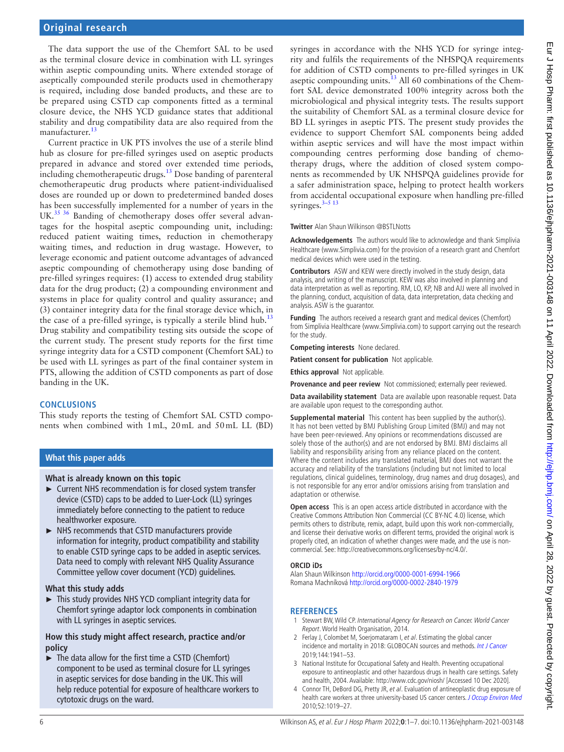The data support the use of the Chemfort SAL to be used as the terminal closure device in combination with LL syringes within aseptic compounding units. Where extended storage of aseptically compounded sterile products used in chemotherapy is required, including dose banded products, and these are to be prepared using CSTD cap components fitted as a terminal closure device, the NHS YCD guidance states that additional stability and drug compatibility data are also required from the manufacturer.<sup>[13](#page-6-3)</sup>

Current practice in UK PTS involves the use of a sterile blind hub as closure for pre-filled syringes used on aseptic products prepared in advance and stored over extended time periods,  $\frac{1}{2}$  including chemotherapeutic drugs.<sup>13</sup> Dose banding of parenteral chemotherapeutic drug products where patient-individualised doses are rounded up or down to predetermined banded doses has been successfully implemented for a number of years in the UK.<sup>[35 36](#page-6-17)</sup> Banding of chemotherapy doses offer several advantages for the hospital aseptic compounding unit, including: reduced patient waiting times, reduction in chemotherapy waiting times, and reduction in drug wastage. However, to leverage economic and patient outcome advantages of advanced aseptic compounding of chemotherapy using dose banding of pre-filled syringes requires: (1) access to extended drug stability data for the drug product; (2) a compounding environment and systems in place for quality control and quality assurance; and (3) container integrity data for the final storage device which, in the case of a pre-filled syringe, is typically a sterile blind hub.<sup>[13](#page-6-3)</sup> Drug stability and compatibility testing sits outside the scope of the current study. The present study reports for the first time syringe integrity data for a CSTD component (Chemfort SAL) to be used with LL syringes as part of the final container system in PTS, allowing the addition of CSTD components as part of dose banding in the UK.

# **CONCLUSIONS**

This study reports the testing of Chemfort SAL CSTD components when combined with 1mL, 20mL and 50mL LL (BD)

# **What this paper adds**

# **What is already known on this topic**

- ► Current NHS recommendation is for closed system transfer device (CSTD) caps to be added to Luer-Lock (LL) syringes immediately before connecting to the patient to reduce healthworker exposure.
- ► NHS recommends that CSTD manufacturers provide information for integrity, product compatibility and stability to enable CSTD syringe caps to be added in aseptic services. Data need to comply with relevant NHS Quality Assurance Committee yellow cover document (YCD) guidelines.

# **What this study adds**

► This study provides NHS YCD compliant integrity data for Chemfort syringe adaptor lock components in combination with LL syringes in aseptic services.

#### **How this study might affect research, practice and/or policy**

► The data allow for the first time a CSTD (Chemfort) component to be used as terminal closure for LL syringes in aseptic services for dose banding in the UK. This will help reduce potential for exposure of healthcare workers to cytotoxic drugs on the ward.

syringes in accordance with the NHS YCD for syringe integrity and fulfils the requirements of the NHSPQA requirements for addition of CSTD components to pre-filled syringes in UK aseptic compounding units.<sup>13</sup> All 60 combinations of the Chemfort SAL device demonstrated 100% integrity across both the microbiological and physical integrity tests. The results support the suitability of Chemfort SAL as a terminal closure device for BD LL syringes in aseptic PTS. The present study provides the evidence to support Chemfort SAL components being added within aseptic services and will have the most impact within compounding centres performing dose banding of chemotherapy drugs, where the addition of closed system components as recommended by UK NHSPQA guidelines provide for a safer administration space, helping to protect health workers from accidental occupational exposure when handling pre-filled syringes. $3-5$  13

**Twitter** Alan Shaun Wilkinson [@BSTLNotts](https://twitter.com/BSTLNotts)

**Acknowledgements** The authors would like to acknowledge and thank Simplivia Healthcare (www.Simplivia.com) for the provision of a research grant and Chemfort medical devices which were used in the testing.

**Contributors** ASW and KEW were directly involved in the study design, data analysis, and writing of the manuscript. KEW was also involved in planning and data interpretation as well as reporting. RM, LO, KP, NB and AJJ were all involved in the planning, conduct, acquisition of data, data interpretation, data checking and analysis. ASW is the guarantor.

**Funding** The authors received a research grant and medical devices (Chemfort) from Simplivia Healthcare (www.Simplivia.com) to support carrying out the research for the study.

**Competing interests** None declared.

**Patient consent for publication** Not applicable.

**Ethics approval** Not applicable.

**Provenance and peer review** Not commissioned; externally peer reviewed.

**Data availability statement** Data are available upon reasonable request. Data are available upon request to the corresponding author.

**Supplemental material** This content has been supplied by the author(s). It has not been vetted by BMJ Publishing Group Limited (BMJ) and may not have been peer-reviewed. Any opinions or recommendations discussed are solely those of the author(s) and are not endorsed by BMJ. BMJ disclaims all liability and responsibility arising from any reliance placed on the content. Where the content includes any translated material, BMJ does not warrant the accuracy and reliability of the translations (including but not limited to local regulations, clinical guidelines, terminology, drug names and drug dosages), and is not responsible for any error and/or omissions arising from translation and adaptation or otherwise.

**Open access** This is an open access article distributed in accordance with the Creative Commons Attribution Non Commercial (CC BY-NC 4.0) license, which permits others to distribute, remix, adapt, build upon this work non-commercially, and license their derivative works on different terms, provided the original work is properly cited, an indication of whether changes were made, and the use is noncommercial. See:<http://creativecommons.org/licenses/by-nc/4.0/>.

#### **ORCID iDs**

Alan Shaun Wilkinson <http://orcid.org/0000-0001-6994-1966> Romana Machníková<http://orcid.org/0000-0002-2840-1979>

# **REFERENCES**

- <span id="page-5-0"></span>1 Stewart BW, Wild CP. International Agency for Research on Cancer. World Cancer Report. World Health Organisation, 2014.
- 2 Ferlay J, Colombet M, Soerjomataram I, et al. Estimating the global cancer incidence and mortality in 2018: GLOBOCAN sources and methods. [Int J Cancer](http://dx.doi.org/10.1002/ijc.31937) 2019;144:1941–53.
- <span id="page-5-1"></span>3 National Institute for Occupational Safety and Health. Preventing occupational exposure to antineoplastic and other hazardous drugs in health care settings. Safety and health, 2004. Available:<http://www.cdc.gov/niosh/>[Accessed 10 Dec 2020].
- <span id="page-5-2"></span>4 Connor TH, DeBord DG, Pretty JR, et al. Evaluation of antineoplastic drug exposure of health care workers at three university-based US cancer centers. [J Occup Environ Med](http://dx.doi.org/10.1097/JOM.0b013e3181f72b63) 2010;52:1019–27.